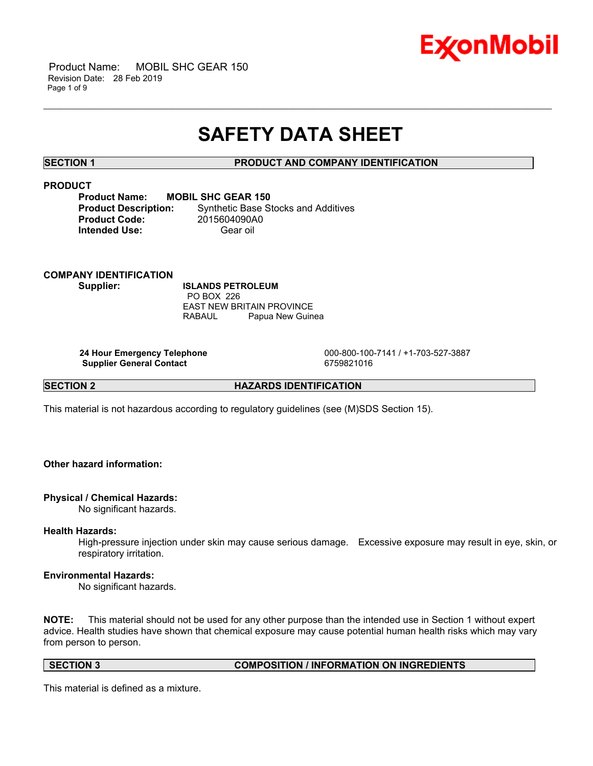

# **SAFETY DATA SHEET**

\_\_\_\_\_\_\_\_\_\_\_\_\_\_\_\_\_\_\_\_\_\_\_\_\_\_\_\_\_\_\_\_\_\_\_\_\_\_\_\_\_\_\_\_\_\_\_\_\_\_\_\_\_\_\_\_\_\_\_\_\_\_\_\_\_\_\_\_\_\_\_\_\_\_\_\_\_\_\_\_\_\_\_\_\_\_\_\_\_\_\_\_\_\_\_\_\_\_\_\_\_\_\_\_\_\_\_\_\_\_\_\_\_\_\_\_\_\_

# **SECTION 1 PRODUCT AND COMPANY IDENTIFICATION**

# **PRODUCT**

| <b>MOBIL SHC GEAR 150</b>                  |
|--------------------------------------------|
| <b>Synthetic Base Stocks and Additives</b> |
| 2015604090A0                               |
| Gear oil                                   |
|                                            |

**COMPANY IDENTIFICATION Supplier: ISLANDS PETROLEUM** PO BOX 226 EAST NEW BRITAIN PROVINCE

**Supplier General Contact** 6759821016

 **24 Hour Emergency Telephone** 000-800-100-7141 / +1-703-527-3887

**SECTION 2 HAZARDS IDENTIFICATION** 

This material is not hazardous according to regulatory guidelines (see (M)SDS Section 15).

RABAUL Papua New Guinea

# **Other hazard information:**

# **Physical / Chemical Hazards:**

No significant hazards.

# **Health Hazards:**

High-pressure injection under skin may cause serious damage. Excessive exposure may result in eye, skin, or respiratory irritation.

# **Environmental Hazards:**

No significant hazards.

**NOTE:** This material should not be used for any other purpose than the intended use in Section 1 without expert advice. Health studies have shown that chemical exposure may cause potential human health risks which may vary from person to person.

**SECTION 3 COMPOSITION / INFORMATION ON INGREDIENTS**

This material is defined as a mixture.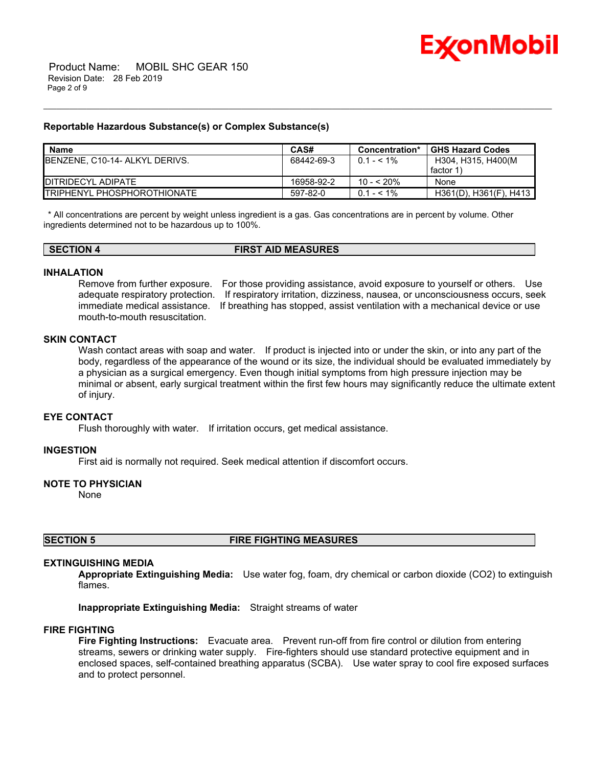

# **Reportable Hazardous Substance(s) or Complex Substance(s)**

| <b>Name</b>                         | CAS#       | Concentration* | <b>GHS Hazard Codes</b> |
|-------------------------------------|------------|----------------|-------------------------|
| BENZENE, C10-14- ALKYL DERIVS.      | 68442-69-3 | $0.1 - 5.1\%$  | H304, H315, H400(M      |
|                                     |            |                | factor 1                |
| <b>IDITRIDECYL ADIPATE</b>          | 16958-92-2 | $10 - 520%$    | None                    |
| <b>ITRIPHENYL PHOSPHOROTHIONATE</b> | 597-82-0   | $0.1 - 5.1\%$  | H361(D), H361(F), H413  |

\_\_\_\_\_\_\_\_\_\_\_\_\_\_\_\_\_\_\_\_\_\_\_\_\_\_\_\_\_\_\_\_\_\_\_\_\_\_\_\_\_\_\_\_\_\_\_\_\_\_\_\_\_\_\_\_\_\_\_\_\_\_\_\_\_\_\_\_\_\_\_\_\_\_\_\_\_\_\_\_\_\_\_\_\_\_\_\_\_\_\_\_\_\_\_\_\_\_\_\_\_\_\_\_\_\_\_\_\_\_\_\_\_\_\_\_\_\_

 \* All concentrations are percent by weight unless ingredient is a gas. Gas concentrations are in percent by volume. Other ingredients determined not to be hazardous up to 100%.

| <b>SECTION 4</b> | <b>FIRST AID MEASURES</b> |
|------------------|---------------------------|
|                  |                           |

# **INHALATION**

Remove from further exposure. For those providing assistance, avoid exposure to yourself or others. Use adequate respiratory protection. If respiratory irritation, dizziness, nausea, or unconsciousness occurs, seek immediate medical assistance. If breathing has stopped, assist ventilation with a mechanical device or use mouth-to-mouth resuscitation.

#### **SKIN CONTACT**

Wash contact areas with soap and water. If product is injected into or under the skin, or into any part of the body, regardless of the appearance of the wound or its size, the individual should be evaluated immediately by a physician as a surgical emergency. Even though initial symptoms from high pressure injection may be minimal or absent, early surgical treatment within the first few hours may significantly reduce the ultimate extent of injury.

#### **EYE CONTACT**

Flush thoroughly with water. If irritation occurs, get medical assistance.

#### **INGESTION**

First aid is normally not required. Seek medical attention if discomfort occurs.

# **NOTE TO PHYSICIAN**

None

# **SECTION 5 FIRE FIGHTING MEASURES**

# **EXTINGUISHING MEDIA**

**Appropriate Extinguishing Media:** Use water fog, foam, dry chemical or carbon dioxide (CO2) to extinguish flames.

**Inappropriate Extinguishing Media:** Straight streams of water

# **FIRE FIGHTING**

**Fire Fighting Instructions:** Evacuate area. Prevent run-off from fire control or dilution from entering streams, sewers or drinking water supply. Fire-fighters should use standard protective equipment and in enclosed spaces, self-contained breathing apparatus (SCBA). Use water spray to cool fire exposed surfaces and to protect personnel.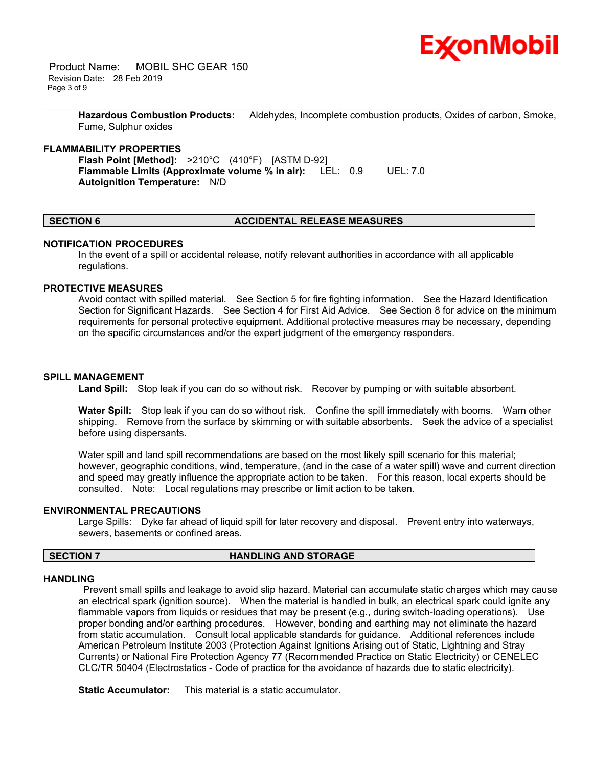

 Product Name: MOBIL SHC GEAR 150 Revision Date: 28 Feb 2019 Page 3 of 9

> **Hazardous Combustion Products:** Aldehydes, Incomplete combustion products, Oxides of carbon, Smoke, Fume, Sulphur oxides

\_\_\_\_\_\_\_\_\_\_\_\_\_\_\_\_\_\_\_\_\_\_\_\_\_\_\_\_\_\_\_\_\_\_\_\_\_\_\_\_\_\_\_\_\_\_\_\_\_\_\_\_\_\_\_\_\_\_\_\_\_\_\_\_\_\_\_\_\_\_\_\_\_\_\_\_\_\_\_\_\_\_\_\_\_\_\_\_\_\_\_\_\_\_\_\_\_\_\_\_\_\_\_\_\_\_\_\_\_\_\_\_\_\_\_\_\_\_

### **FLAMMABILITY PROPERTIES**

**Flash Point [Method]:** >210°C (410°F) [ASTM D-92] **Flammable Limits (Approximate volume % in air):** LEL: 0.9 UEL: 7.0 **Autoignition Temperature:** N/D

### **SECTION 6 ACCIDENTAL RELEASE MEASURES**

#### **NOTIFICATION PROCEDURES**

In the event of a spill or accidental release, notify relevant authorities in accordance with all applicable regulations.

# **PROTECTIVE MEASURES**

Avoid contact with spilled material. See Section 5 for fire fighting information. See the Hazard Identification Section for Significant Hazards. See Section 4 for First Aid Advice. See Section 8 for advice on the minimum requirements for personal protective equipment. Additional protective measures may be necessary, depending on the specific circumstances and/or the expert judgment of the emergency responders.

#### **SPILL MANAGEMENT**

**Land Spill:** Stop leak if you can do so without risk. Recover by pumping or with suitable absorbent.

**Water Spill:** Stop leak if you can do so without risk. Confine the spill immediately with booms. Warn other shipping. Remove from the surface by skimming or with suitable absorbents. Seek the advice of a specialist before using dispersants.

Water spill and land spill recommendations are based on the most likely spill scenario for this material; however, geographic conditions, wind, temperature, (and in the case of a water spill) wave and current direction and speed may greatly influence the appropriate action to be taken. For this reason, local experts should be consulted. Note: Local regulations may prescribe or limit action to be taken.

#### **ENVIRONMENTAL PRECAUTIONS**

Large Spills: Dyke far ahead of liquid spill for later recovery and disposal. Prevent entry into waterways, sewers, basements or confined areas.

### **SECTION 7 HANDLING AND STORAGE**

#### **HANDLING**

 Prevent small spills and leakage to avoid slip hazard. Material can accumulate static charges which may cause an electrical spark (ignition source). When the material is handled in bulk, an electrical spark could ignite any flammable vapors from liquids or residues that may be present (e.g., during switch-loading operations). Use proper bonding and/or earthing procedures. However, bonding and earthing may not eliminate the hazard from static accumulation. Consult local applicable standards for guidance. Additional references include American Petroleum Institute 2003 (Protection Against Ignitions Arising out of Static, Lightning and Stray Currents) or National Fire Protection Agency 77 (Recommended Practice on Static Electricity) or CENELEC CLC/TR 50404 (Electrostatics - Code of practice for the avoidance of hazards due to static electricity).

**Static Accumulator:** This material is a static accumulator.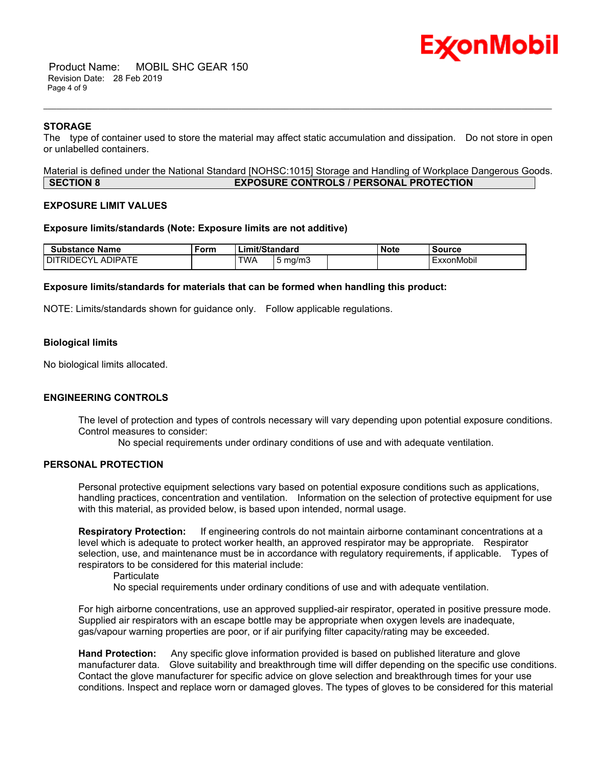

 Product Name: MOBIL SHC GEAR 150 Revision Date: 28 Feb 2019 Page 4 of 9

### **STORAGE**

The type of container used to store the material may affect static accumulation and dissipation. Do not store in open or unlabelled containers.

\_\_\_\_\_\_\_\_\_\_\_\_\_\_\_\_\_\_\_\_\_\_\_\_\_\_\_\_\_\_\_\_\_\_\_\_\_\_\_\_\_\_\_\_\_\_\_\_\_\_\_\_\_\_\_\_\_\_\_\_\_\_\_\_\_\_\_\_\_\_\_\_\_\_\_\_\_\_\_\_\_\_\_\_\_\_\_\_\_\_\_\_\_\_\_\_\_\_\_\_\_\_\_\_\_\_\_\_\_\_\_\_\_\_\_\_\_\_

Material is defined under the National Standard [NOHSC:1015] Storage and Handling of Workplace Dangerous Goods. **SECTION 8 EXPOSURE CONTROLS / PERSONAL PROTECTION**

#### **EXPOSURE LIMIT VALUES**

#### **Exposure limits/standards (Note: Exposure limits are not additive)**

| <b>Substance Name</b>                         | ∙orm | ∟imit/Standard |       | Note | <b>Source</b> |            |
|-----------------------------------------------|------|----------------|-------|------|---------------|------------|
| <b>NIPATF</b><br>CYI<br>Dľ<br>℩⊢<br>RIL<br>ΑI |      | TWA            | ma/m3 |      |               | ExxonMobil |

### **Exposure limits/standards for materials that can be formed when handling this product:**

NOTE: Limits/standards shown for guidance only. Follow applicable regulations.

#### **Biological limits**

No biological limits allocated.

### **ENGINEERING CONTROLS**

The level of protection and types of controls necessary will vary depending upon potential exposure conditions. Control measures to consider:

No special requirements under ordinary conditions of use and with adequate ventilation.

# **PERSONAL PROTECTION**

Personal protective equipment selections vary based on potential exposure conditions such as applications, handling practices, concentration and ventilation. Information on the selection of protective equipment for use with this material, as provided below, is based upon intended, normal usage.

**Respiratory Protection:** If engineering controls do not maintain airborne contaminant concentrations at a level which is adequate to protect worker health, an approved respirator may be appropriate. Respirator selection, use, and maintenance must be in accordance with regulatory requirements, if applicable. Types of respirators to be considered for this material include:

**Particulate** 

No special requirements under ordinary conditions of use and with adequate ventilation.

For high airborne concentrations, use an approved supplied-air respirator, operated in positive pressure mode. Supplied air respirators with an escape bottle may be appropriate when oxygen levels are inadequate, gas/vapour warning properties are poor, or if air purifying filter capacity/rating may be exceeded.

**Hand Protection:** Any specific glove information provided is based on published literature and glove manufacturer data. Glove suitability and breakthrough time will differ depending on the specific use conditions. Contact the glove manufacturer for specific advice on glove selection and breakthrough times for your use conditions. Inspect and replace worn or damaged gloves. The types of gloves to be considered for this material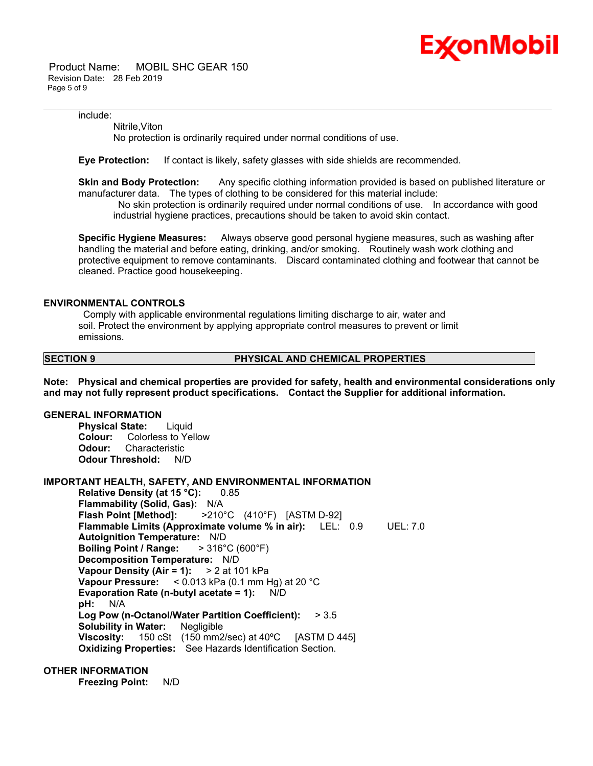

 Product Name: MOBIL SHC GEAR 150 Revision Date: 28 Feb 2019 Page 5 of 9

include:

Nitrile,Viton

No protection is ordinarily required under normal conditions of use.

**Eye Protection:** If contact is likely, safety glasses with side shields are recommended.

**Skin and Body Protection:** Any specific clothing information provided is based on published literature or manufacturer data. The types of clothing to be considered for this material include:

\_\_\_\_\_\_\_\_\_\_\_\_\_\_\_\_\_\_\_\_\_\_\_\_\_\_\_\_\_\_\_\_\_\_\_\_\_\_\_\_\_\_\_\_\_\_\_\_\_\_\_\_\_\_\_\_\_\_\_\_\_\_\_\_\_\_\_\_\_\_\_\_\_\_\_\_\_\_\_\_\_\_\_\_\_\_\_\_\_\_\_\_\_\_\_\_\_\_\_\_\_\_\_\_\_\_\_\_\_\_\_\_\_\_\_\_\_\_

 No skin protection is ordinarily required under normal conditions of use. In accordance with good industrial hygiene practices, precautions should be taken to avoid skin contact.

**Specific Hygiene Measures:** Always observe good personal hygiene measures, such as washing after handling the material and before eating, drinking, and/or smoking. Routinely wash work clothing and protective equipment to remove contaminants. Discard contaminated clothing and footwear that cannot be cleaned. Practice good housekeeping.

### **ENVIRONMENTAL CONTROLS**

 Comply with applicable environmental regulations limiting discharge to air, water and soil. Protect the environment by applying appropriate control measures to prevent or limit emissions.

#### **SECTION 9 PHYSICAL AND CHEMICAL PROPERTIES**

**Note: Physical and chemical properties are provided for safety, health and environmental considerations only and may not fully represent product specifications. Contact the Supplier for additional information.**

# **GENERAL INFORMATION**

**Physical State:** Liquid **Colour:** Colorless to Yellow **Odour:** Characteristic **Odour Threshold:** N/D

# **IMPORTANT HEALTH, SAFETY, AND ENVIRONMENTAL INFORMATION**

**Relative Density (at 15 °C):** 0.85 **Flammability (Solid, Gas):** N/A **Flash Point [Method]:** >210°C (410°F) [ASTM D-92] **Flammable Limits (Approximate volume % in air):** LEL: 0.9 UEL: 7.0 **Autoignition Temperature:** N/D **Boiling Point / Range:** > 316°C (600°F) **Decomposition Temperature:** N/D **Vapour Density (Air = 1):** > 2 at 101 kPa **Vapour Pressure:** < 0.013 kPa (0.1 mm Hg) at 20 °C **Evaporation Rate (n-butyl acetate = 1):** N/D **pH:** N/A **Log Pow (n-Octanol/Water Partition Coefficient):** > 3.5 **Solubility in Water:** Negligible **Viscosity:** 150 cSt (150 mm2/sec) at 40ºC [ASTM D 445] **Oxidizing Properties:** See Hazards Identification Section.

# **OTHER INFORMATION**

**Freezing Point:** N/D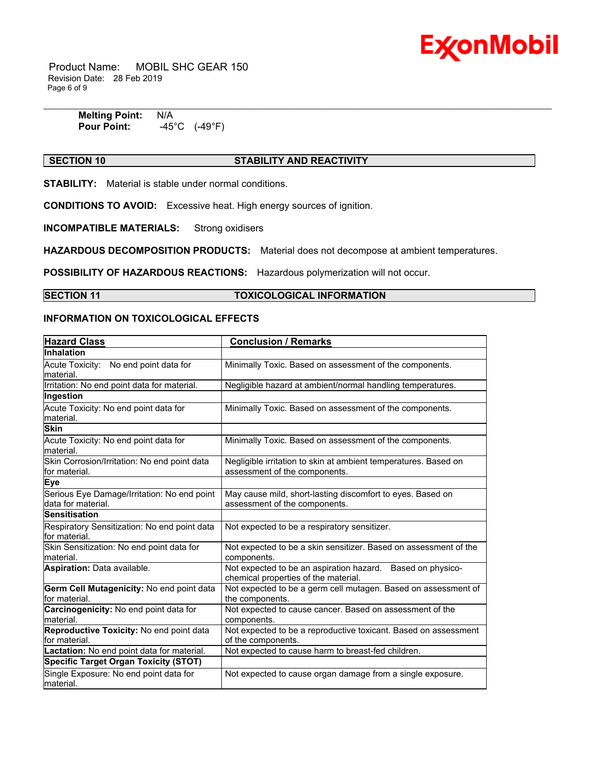

 Product Name: MOBIL SHC GEAR 150 Revision Date: 28 Feb 2019 Page 6 of 9

> **Melting Point: N/A<br>Pour Point: 45 Pour Point:** -45°C (-49°F)

# **SECTION 10 STABILITY AND REACTIVITY**

\_\_\_\_\_\_\_\_\_\_\_\_\_\_\_\_\_\_\_\_\_\_\_\_\_\_\_\_\_\_\_\_\_\_\_\_\_\_\_\_\_\_\_\_\_\_\_\_\_\_\_\_\_\_\_\_\_\_\_\_\_\_\_\_\_\_\_\_\_\_\_\_\_\_\_\_\_\_\_\_\_\_\_\_\_\_\_\_\_\_\_\_\_\_\_\_\_\_\_\_\_\_\_\_\_\_\_\_\_\_\_\_\_\_\_\_\_\_

**STABILITY:** Material is stable under normal conditions.

**CONDITIONS TO AVOID:** Excessive heat. High energy sources of ignition.

**INCOMPATIBLE MATERIALS:** Strong oxidisers

**HAZARDOUS DECOMPOSITION PRODUCTS:** Material does not decompose at ambient temperatures.

**POSSIBILITY OF HAZARDOUS REACTIONS:** Hazardous polymerization will not occur.

### **SECTION 11 TOXICOLOGICAL INFORMATION**

# **INFORMATION ON TOXICOLOGICAL EFFECTS**

| <b>Hazard Class</b>                                               | <b>Conclusion / Remarks</b>                                                                        |
|-------------------------------------------------------------------|----------------------------------------------------------------------------------------------------|
| <b>Inhalation</b>                                                 |                                                                                                    |
| Acute Toxicity: No end point data for<br>material.                | Minimally Toxic. Based on assessment of the components.                                            |
| Irritation: No end point data for material.                       | Negligible hazard at ambient/normal handling temperatures.                                         |
| Ingestion                                                         |                                                                                                    |
| Acute Toxicity: No end point data for<br>material.                | Minimally Toxic. Based on assessment of the components.                                            |
| <b>Skin</b>                                                       |                                                                                                    |
| Acute Toxicity: No end point data for<br>material.                | Minimally Toxic. Based on assessment of the components.                                            |
| Skin Corrosion/Irritation: No end point data<br>lfor material.    | Negligible irritation to skin at ambient temperatures. Based on<br>assessment of the components.   |
| Eye                                                               |                                                                                                    |
| Serious Eye Damage/Irritation: No end point<br>data for material. | May cause mild, short-lasting discomfort to eyes. Based on<br>assessment of the components.        |
| <b>Sensitisation</b>                                              |                                                                                                    |
| Respiratory Sensitization: No end point data<br>for material.     | Not expected to be a respiratory sensitizer.                                                       |
| Skin Sensitization: No end point data for<br>material.            | Not expected to be a skin sensitizer. Based on assessment of the<br>components.                    |
| Aspiration: Data available.                                       | Not expected to be an aspiration hazard. Based on physico-<br>chemical properties of the material. |
| Germ Cell Mutagenicity: No end point data<br>for material.        | Not expected to be a germ cell mutagen. Based on assessment of<br>the components.                  |
| Carcinogenicity: No end point data for<br>material.               | Not expected to cause cancer. Based on assessment of the<br>components.                            |
| Reproductive Toxicity: No end point data<br>for material.         | Not expected to be a reproductive toxicant. Based on assessment<br>of the components.              |
| Lactation: No end point data for material.                        | Not expected to cause harm to breast-fed children.                                                 |
| <b>Specific Target Organ Toxicity (STOT)</b>                      |                                                                                                    |
| Single Exposure: No end point data for<br>material.               | Not expected to cause organ damage from a single exposure.                                         |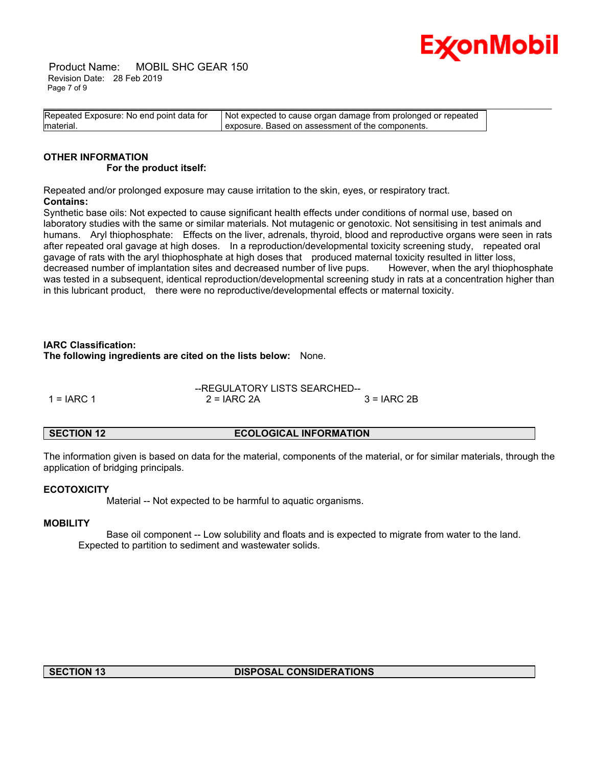

 Product Name: MOBIL SHC GEAR 150 Revision Date: 28 Feb 2019 Page 7 of 9

| Repeated Exposure: No end point data for | Not expected to cause organ damage from prolonged or repeated |
|------------------------------------------|---------------------------------------------------------------|
| material.                                | I exposure. Based on assessment of the components.            |

# **OTHER INFORMATION For the product itself:**

Repeated and/or prolonged exposure may cause irritation to the skin, eyes, or respiratory tract. **Contains:**

Synthetic base oils: Not expected to cause significant health effects under conditions of normal use, based on laboratory studies with the same or similar materials. Not mutagenic or genotoxic. Not sensitising in test animals and humans. Aryl thiophosphate: Effects on the liver, adrenals, thyroid, blood and reproductive organs were seen in rats after repeated oral gavage at high doses. In a reproduction/developmental toxicity screening study, repeated oral gavage of rats with the aryl thiophosphate at high doses that produced maternal toxicity resulted in litter loss, decreased number of implantation sites and decreased number of live pups. However, when the aryl thiophosphate was tested in a subsequent, identical reproduction/developmental screening study in rats at a concentration higher than in this lubricant product, there were no reproductive/developmental effects or maternal toxicity.

# **IARC Classification:**

**The following ingredients are cited on the lists below:** None.

|              | --REGULATORY LISTS SEARCHED-- |               |
|--------------|-------------------------------|---------------|
| $1 = IARC 1$ | $2 = IARC 2A$                 | $3 = IARC 2B$ |

# **SECTION 12 ECOLOGICAL INFORMATION**

The information given is based on data for the material, components of the material, or for similar materials, through the application of bridging principals.

# **ECOTOXICITY**

Material -- Not expected to be harmful to aquatic organisms.

# **MOBILITY**

 Base oil component -- Low solubility and floats and is expected to migrate from water to the land. Expected to partition to sediment and wastewater solids.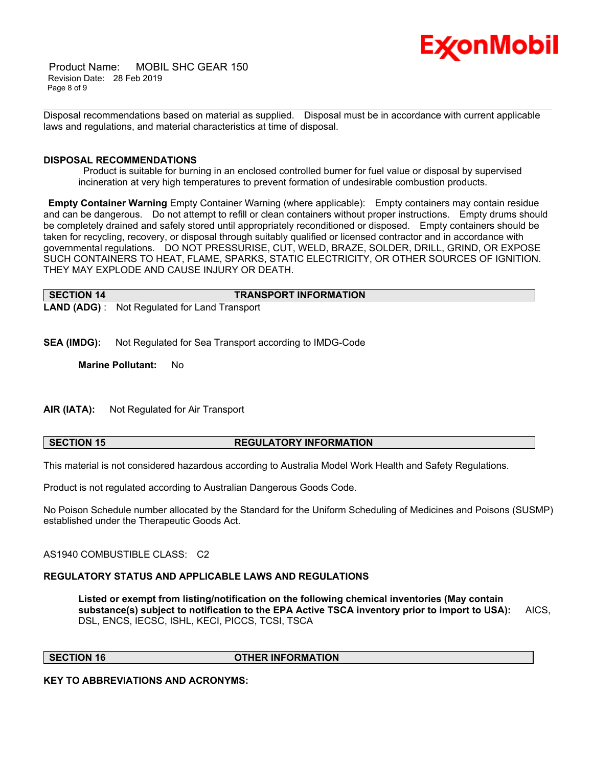

 Product Name: MOBIL SHC GEAR 150 Revision Date: 28 Feb 2019 Page 8 of 9

\_\_\_\_\_\_\_\_\_\_\_\_\_\_\_\_\_\_\_\_\_\_\_\_\_\_\_\_\_\_\_\_\_\_\_\_\_\_\_\_\_\_\_\_\_\_\_\_\_\_\_\_\_\_\_\_\_\_\_\_\_\_\_\_\_\_\_\_\_\_\_\_\_\_\_\_\_\_\_\_\_\_\_\_\_\_\_\_\_\_\_\_\_\_\_\_\_\_\_\_\_\_\_\_\_\_\_\_\_\_\_\_\_\_\_\_\_\_ Disposal recommendations based on material as supplied. Disposal must be in accordance with current applicable laws and regulations, and material characteristics at time of disposal.

### **DISPOSAL RECOMMENDATIONS**

 Product is suitable for burning in an enclosed controlled burner for fuel value or disposal by supervised incineration at very high temperatures to prevent formation of undesirable combustion products.

**Empty Container Warning** Empty Container Warning (where applicable): Empty containers may contain residue and can be dangerous. Do not attempt to refill or clean containers without proper instructions. Empty drums should be completely drained and safely stored until appropriately reconditioned or disposed. Empty containers should be taken for recycling, recovery, or disposal through suitably qualified or licensed contractor and in accordance with governmental regulations. DO NOT PRESSURISE, CUT, WELD, BRAZE, SOLDER, DRILL, GRIND, OR EXPOSE SUCH CONTAINERS TO HEAT, FLAME, SPARKS, STATIC ELECTRICITY, OR OTHER SOURCES OF IGNITION. THEY MAY EXPLODE AND CAUSE INJURY OR DEATH.

| SECTION 14 | <b>TRANSPORT INFORMATION</b>                         |
|------------|------------------------------------------------------|
|            | <b>LAND (ADG)</b> : Not Regulated for Land Transport |

**SEA (IMDG):** Not Regulated for Sea Transport according to IMDG-Code

**Marine Pollutant:** No

**AIR (IATA):** Not Regulated for Air Transport

# **SECTION 15 REGULATORY INFORMATION**

This material is not considered hazardous according to Australia Model Work Health and Safety Regulations.

Product is not regulated according to Australian Dangerous Goods Code.

No Poison Schedule number allocated by the Standard for the Uniform Scheduling of Medicines and Poisons (SUSMP) established under the Therapeutic Goods Act.

AS1940 COMBUSTIBLE CLASS: C2

# **REGULATORY STATUS AND APPLICABLE LAWS AND REGULATIONS**

**Listed or exempt from listing/notification on the following chemical inventories (May contain substance(s) subject to notification to the EPA Active TSCA inventory prior to import to USA):** AICS, DSL, ENCS, IECSC, ISHL, KECI, PICCS, TCSI, TSCA

**SECTION 16 OTHER INFORMATION**

**KEY TO ABBREVIATIONS AND ACRONYMS:**